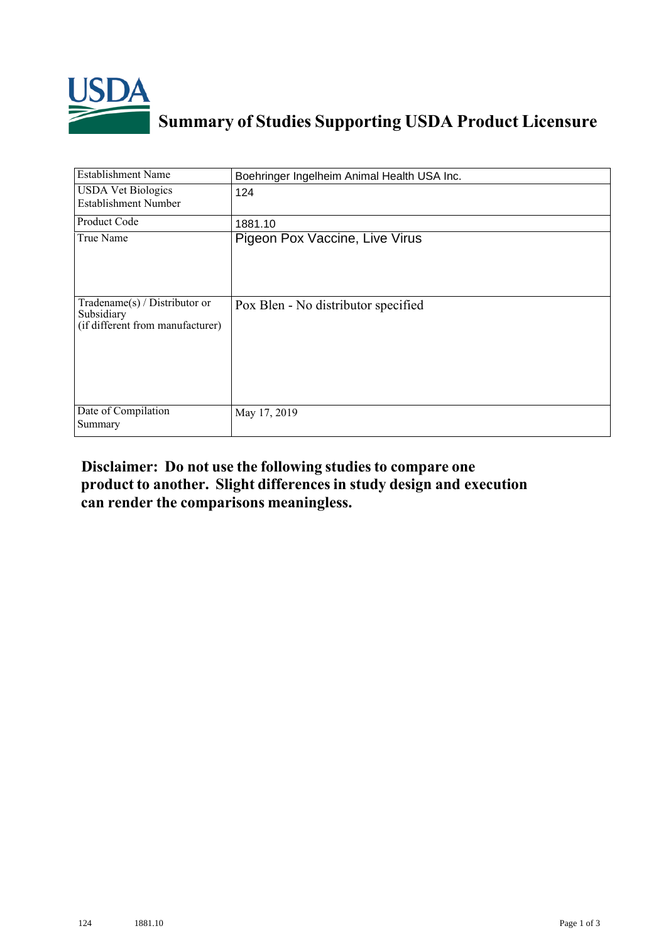

## **Summary of Studies Supporting USDA Product Licensure**

| <b>Establishment Name</b>                                                       | Boehringer Ingelheim Animal Health USA Inc. |
|---------------------------------------------------------------------------------|---------------------------------------------|
| <b>USDA Vet Biologics</b><br><b>Establishment Number</b>                        | 124                                         |
| Product Code                                                                    | 1881.10                                     |
| True Name                                                                       | Pigeon Pox Vaccine, Live Virus              |
| Tradename(s) / Distributor or<br>Subsidiary<br>(if different from manufacturer) | Pox Blen - No distributor specified         |
| Date of Compilation<br>Summary                                                  | May 17, 2019                                |

## **Disclaimer: Do not use the following studiesto compare one product to another. Slight differencesin study design and execution can render the comparisons meaningless.**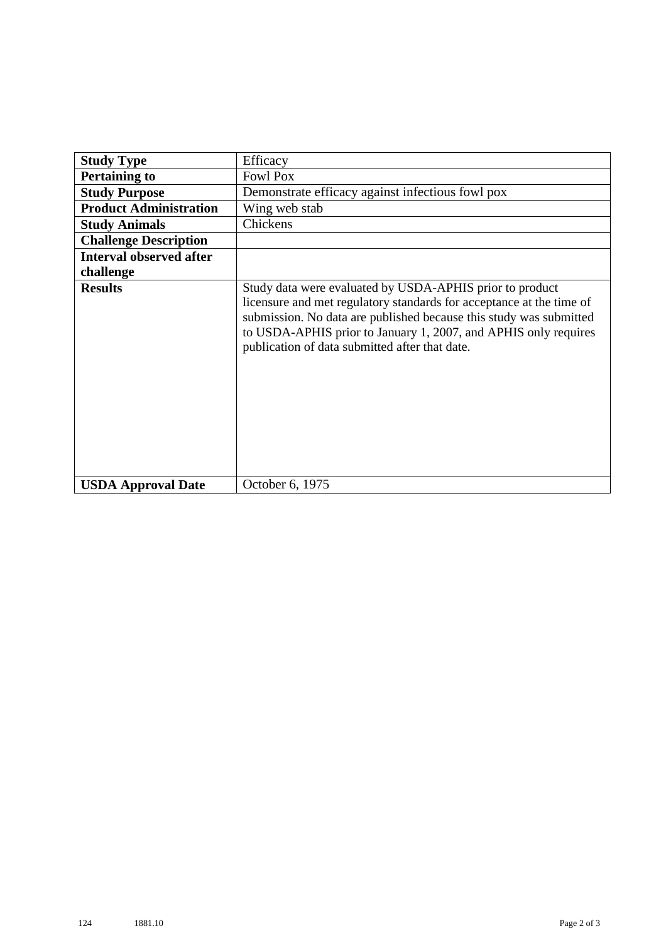| <b>Study Type</b>              | Efficacy                                                                                                                                                                                                                                                                                                                    |
|--------------------------------|-----------------------------------------------------------------------------------------------------------------------------------------------------------------------------------------------------------------------------------------------------------------------------------------------------------------------------|
| <b>Pertaining to</b>           | <b>Fowl Pox</b>                                                                                                                                                                                                                                                                                                             |
| <b>Study Purpose</b>           | Demonstrate efficacy against infectious fowl pox                                                                                                                                                                                                                                                                            |
| <b>Product Administration</b>  | Wing web stab                                                                                                                                                                                                                                                                                                               |
| <b>Study Animals</b>           | Chickens                                                                                                                                                                                                                                                                                                                    |
| <b>Challenge Description</b>   |                                                                                                                                                                                                                                                                                                                             |
| <b>Interval observed after</b> |                                                                                                                                                                                                                                                                                                                             |
| challenge                      |                                                                                                                                                                                                                                                                                                                             |
| <b>Results</b>                 | Study data were evaluated by USDA-APHIS prior to product<br>licensure and met regulatory standards for acceptance at the time of<br>submission. No data are published because this study was submitted<br>to USDA-APHIS prior to January 1, 2007, and APHIS only requires<br>publication of data submitted after that date. |
| <b>USDA Approval Date</b>      | October 6, 1975                                                                                                                                                                                                                                                                                                             |